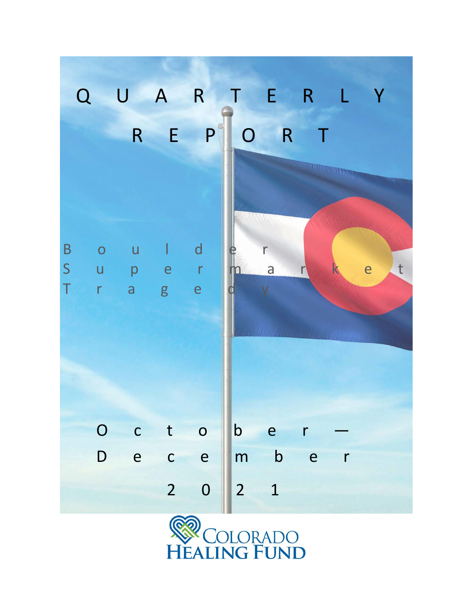

**COLORADO HEALING FUND**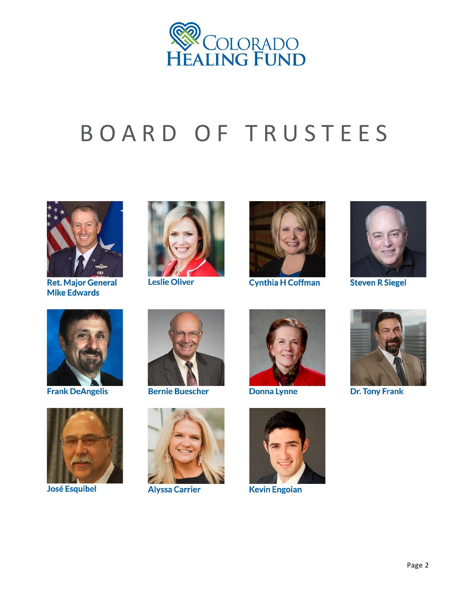

# B O A R D O F T R U S T E E S



**Ret. Major General Mike Edwards** 



**Leslie Oliver** 



**Cynthia H Coffman** 



**Steven R Siegel** 



**Frank DeAngelis** 



**José Esquibel** 



**Bernie Buescher** 



**Alyssa Carrier** 



**Donna Lynne** 



**Kevin Engoian** 



**Dr. Tony Frank**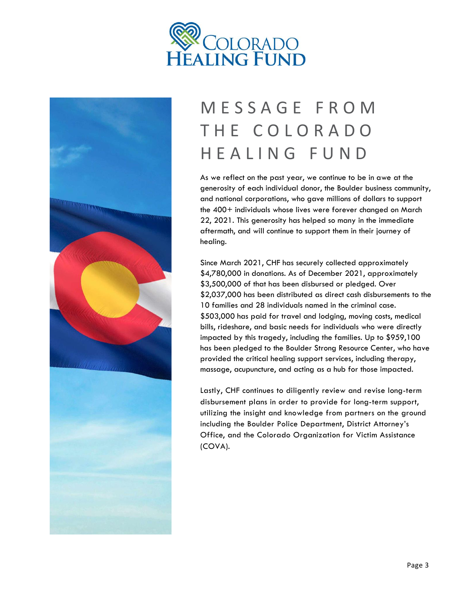



### M E S S A G E F R O M T H E C O L O R A D O H E A L I N G F U N D

As we reflect on the past year, we continue to be in awe at the generosity of each individual donor, the Boulder business community, and national corporations, who gave millions of dollars to support the 400+ individuals whose lives were forever changed on March 22, 2021. This generosity has helped so many in the immediate aftermath, and will continue to support them in their journey of healing.

Since March 2021, CHF has securely collected approximately \$4,780,000 in donations. As of December 2021, approximately \$3,500,000 of that has been disbursed or pledged. Over \$2,037,000 has been distributed as direct cash disbursements to the 10 families and 28 individuals named in the criminal case. \$503,000 has paid for travel and lodging, moving costs, medical bills, rideshare, and basic needs for individuals who were directly impacted by this tragedy, including the families. Up to \$959,100 has been pledged to the Boulder Strong Resource Center, who have provided the critical healing support services, including therapy, massage, acupuncture, and acting as a hub for those impacted.

Lastly, CHF continues to diligently review and revise long-term disbursement plans in order to provide for long-term support, utilizing the insight and knowledge from partners on the ground including the Boulder Police Department, District Attorney's Office, and the Colorado Organization for Victim Assistance (COVA).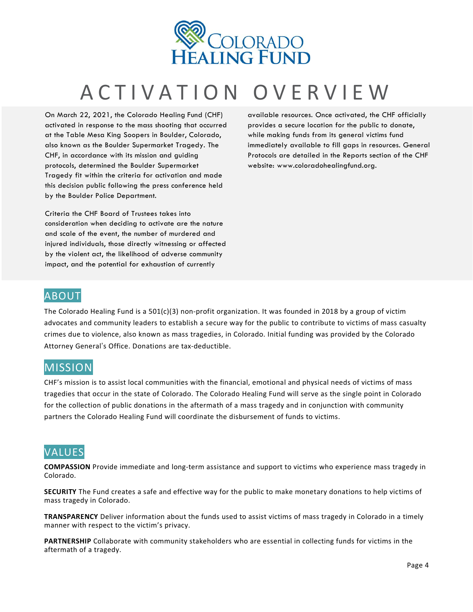

### A C T I V A T I O N O V E R V I E W

On March 22, 2021, the Colorado Healing Fund (CHF) activated in response to the mass shooting that occurred at the Table Mesa King Soopers in Boulder, Colorado, also known as the Boulder Supermarket Tragedy. The CHF, in accordance with its mission and guiding protocols, determined the Boulder Supermarket Tragedy fit within the criteria for activation and made this decision public following the press conference held by the Boulder Police Department.

Criteria the CHF Board of Trustees takes into consideration when deciding to activate are the nature and scale of the event, the number of murdered and injured individuals, those directly witnessing or affected by the violent act, the likelihood of adverse community impact, and the potential for exhaustion of currently

available resources. Once activated, the CHF officially provides a secure location for the public to donate, while making funds from its general victims fund immediately available to fill gaps in resources. General Protocols are detailed in the Reports section of the CHF website: www.coloradohealingfund.org.

#### ABOUT

The Colorado Healing Fund is a 501(c)(3) non-profit organization. It was founded in 2018 by a group of victim advocates and community leaders to establish a secure way for the public to contribute to victims of mass casualty crimes due to violence, also known as mass tragedies, in Colorado. Initial funding was provided by the Colorado Attorney General's Office. Donations are tax-deductible.

#### **MISSION**

CHF's mission is to assist local communities with the financial, emotional and physical needs of victims of mass tragedies that occur in the state of Colorado. The Colorado Healing Fund will serve as the single point in Colorado for the collection of public donations in the aftermath of a mass tragedy and in conjunction with community partners the Colorado Healing Fund will coordinate the disbursement of funds to victims.

#### VALUES

**COMPASSION** Provide immediate and long-term assistance and support to victims who experience mass tragedy in Colorado.

**SECURITY** The Fund creates a safe and effective way for the public to make monetary donations to help victims of mass tragedy in Colorado.

**TRANSPARENCY** Deliver information about the funds used to assist victims of mass tragedy in Colorado in a timely manner with respect to the victim's privacy.

**PARTNERSHIP** Collaborate with community stakeholders who are essential in collecting funds for victims in the aftermath of a tragedy.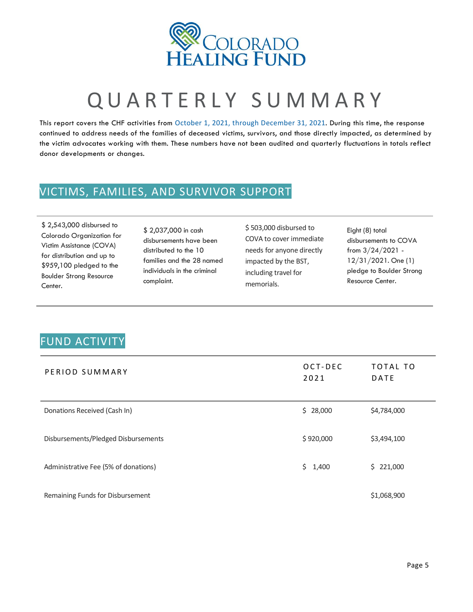

## QUARTERLY SUMMARY

This report covers the CHF activities from October 1, 2021, through December 31, 2021. During this time, the response continued to address needs of the families of deceased victims, survivors, and those directly impacted, as determined by the victim advocates working with them. These numbers have not been audited and quarterly fluctuations in totals reflect donor developments or changes.

#### VICTIMS, FAMILIES, AND SURVIVOR SUPPORT

\$ 2,543,000 disbursed to Colorado Organization for Victim Assistance (COVA) for distribution and up to \$959,100 pledged to the Boulder Strong Resource Center.

\$ 2,037,000 in cash disbursements have been distributed to the 10 families and the 28 named individuals in the criminal complaint.

\$ 503,000 disbursed to COVA to cover immediate needs for anyone directly impacted by the BST, including travel for memorials.

Eight (8) total disbursements to COVA from 3/24/2021 - 12/31/2021. One (1) pledge to Boulder Strong Resource Center.

### FUND ACTIVITY

| PERIOD SUMMARY                       | OCT-DEC<br>2021 | TOTAL TO<br>DATE |
|--------------------------------------|-----------------|------------------|
| Donations Received (Cash In)         | \$28,000        | \$4,784,000      |
| Disbursements/Pledged Disbursements  | \$920,000       | \$3,494,100      |
| Administrative Fee (5% of donations) | \$1,400         | \$221,000        |
| Remaining Funds for Disbursement     |                 | \$1,068,900      |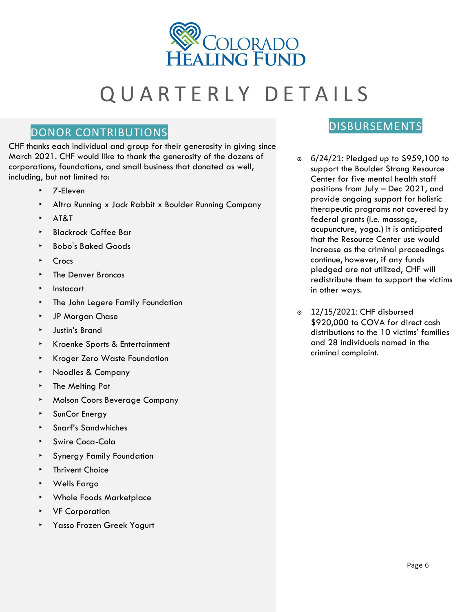

### QUARTERLY DETAILS

### DONOR CONTRIBUTIONS DESCRIPTIONS

CHF thanks each individual and group for their generosity in giving since March 2021. CHF would like to thank the generosity of the dozens of corporations, foundations, and small business that donated as well, including, but not limited to:

- ‣ 7-Eleven
- ‣ Altra Running x Jack Rabbit x Boulder Running Company
- ‣ AT&T
- ‣ Blackrock Coffee Bar
- ‣ Bobo's Baked Goods
- **Crocs**
- ‣ The Denver Broncos
- ‣ Instacart
- ‣ The John Legere Family Foundation
- ‣ JP Morgan Chase
- ‣ Justin's Brand
- ‣ Kroenke Sports & Entertainment
- ‣ Kroger Zero Waste Foundation
- ‣ Noodles & Company
- ‣ The Melting Pot
- ‣ Molson Coors Beverage Company
- **SunCor Energy**
- ‣ Snarf's Sandwhiches
- ‣ Swire Coca-Cola
- ‣ Synergy Family Foundation
- **EXECUTE:** Thrivent Choice
- ‣ Wells Fargo
- ‣ Whole Foods Marketplace
- ‣ VF Corporation
- ‣ Yasso Frozen Greek Yogurt

- ๏ 6/24/21: Pledged up to \$959,100 to support the Boulder Strong Resource Center for five mental health staff positions from July – Dec 2021, and provide ongoing support for holistic therapeutic programs not covered by federal grants (i.e. massage, acupuncture, yoga.) It is anticipated that the Resource Center use would increase as the criminal proceedings continue, however, if any funds pledged are not utilized, CHF will redistribute them to support the victims in other ways.
- ๏ 12/15/2021: CHF disbursed \$920,000 to COVA for direct cash distributions to the 10 victims' families and 28 individuals named in the criminal complaint.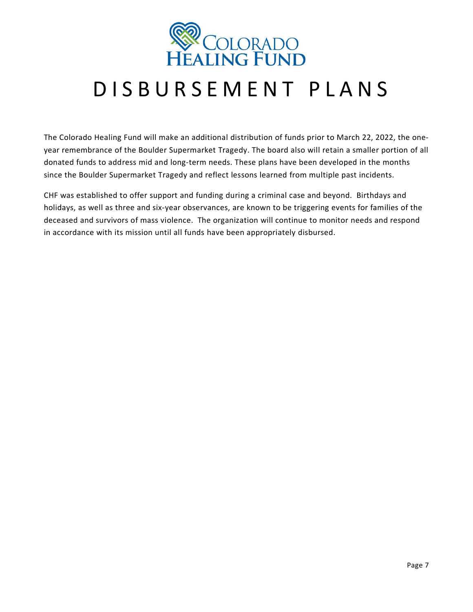

### D I S B U R S E M E N T P L A N S

The Colorado Healing Fund will make an additional distribution of funds prior to March 22, 2022, the oneyear remembrance of the Boulder Supermarket Tragedy. The board also will retain a smaller portion of all donated funds to address mid and long-term needs. These plans have been developed in the months since the Boulder Supermarket Tragedy and reflect lessons learned from multiple past incidents.

CHF was established to offer support and funding during a criminal case and beyond. Birthdays and holidays, as well as three and six-year observances, are known to be triggering events for families of the deceased and survivors of mass violence. The organization will continue to monitor needs and respond in accordance with its mission until all funds have been appropriately disbursed.